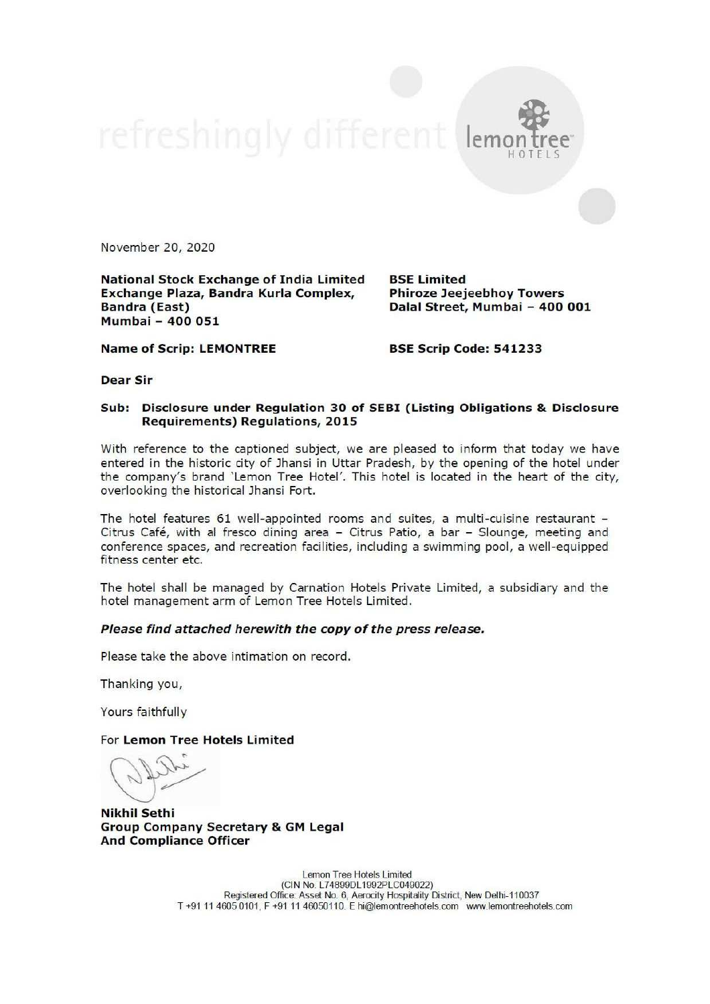

November 20, 2020

National Stock Exchange of India Limited BSE Limited Exchange Plaza, Bandra Kurla Complex, Phiroze Jeejeebhoy Towers Bandra (East) Dalal Street, Mumbai - 400 001 Mumbai - 400 051

Name of Scrip: LEMONTREE BSE Scrip Code: 541233

Dear Sir

### Sub: Disclosure under Regulation 30 of SEBI (Listing Obligations & Disclosure Requirements) Regulations, 2015

With reference to the captioned subject, we are pleased to inform that today we have entered in the historic city of Jhansi in Uttar Pradesh, by the opening of the hotel under the company's brand 'Lemon Tree Hotel'. This hotel is located in the heart of the city, overlooking the historical Jhansi Fort.

The hotel features 61 well-appointed rooms and suites, a multi-cuisine restaurant -Citrus Café, with al fresco dining area - Citrus Patio, a bar - Slounge, meeting and conference spaces, and recreation facilities, including a swimming pool, a well-equipped fitness center etc.

The hotel shall be managed by Carnation Hotels Private Limited, a subsidiary and the hotel management arm of Lemon Tree Hotels Limited.

### Please find attached herewith the copy of the press release.

Please take the above intimation on record.

Thanking you,

Yours faithfully

#### For Lemon Tree Hotels Limited

Nikhil Sethi Group Company Secretary & GM Legal And Compliance Officer

Lemon Tree Hotels Limited<br>(CIN No. L74899DL1992PLC049022)<br>Registered Office: Asset No. 6, Aerocity Hospitality District, New Delhi-110037<br>T +91 11 4605 0101, F +91 11 46050110. E hi@lemontreehotels.com www.lemontreehotels.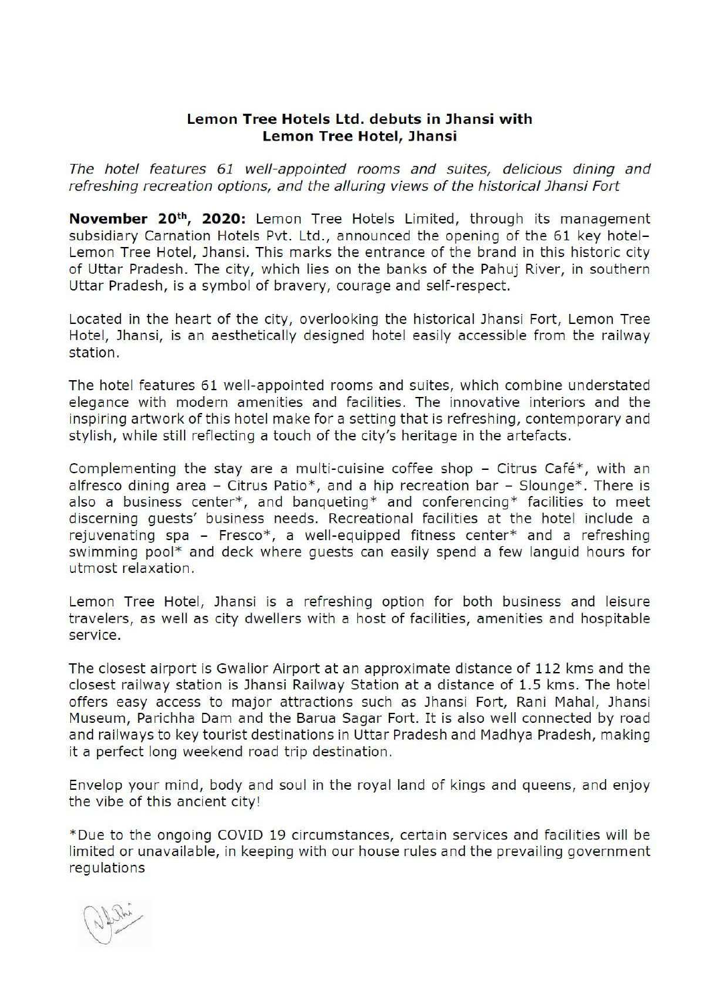# Lemon Tree Hotels Ltd. debuts in Jhansi with Lemon Tree Hotel, Jhansi

The hotel features 61 well-appointed rooms and suites, delicious dining and refreshing recreation options, and the alluring views of the historical Jhansi Fort

November 20<sup>th</sup>, 2020: Lemon Tree Hotels Limited, through its management subsidiary Carnation Hotels Pvt. Ltd., announced the opening of the 61 key hotel-Lemon Tree Hotel, Jhansi. This marks the entrance of the brand in this historic city of Uttar Pradesh. The city, which lies on the banks of the Pahuj River, in southern Uttar Pradesh, is a symbol of bravery, courage and self-respect.

Located in the heart of the city, overlooking the historical Jhansi Fort, Lemon Tree Hotel, Jhansi, is an aesthetically designed hotel easily accessible from the railway station.

The hotel features 61 well-appointed rooms and suites, which combine understated elegance with modern amenities and facilities. The innovative interiors and the inspiring artwork of this hotel make for a setting that is refreshing, contemporary and stylish, while still reflecting a touch of the city's heritage in the artefacts.

Complementing the stay are a multi-cuisine coffee shop - Citrus Café\*, with an alfresco dining area - Citrus Patio\*, and a hip recreation bar - Slounge\*. There is also a business center\*, and banqueting\* and conferencing\* facilities to meet discerning guests' business needs. Recreational facilities at the hotel include a rejuvenating spa - Fresco\*, a well-equipped fitness center\* and a refreshing swimming pool\* and deck where guests can easily spend a few languid hours for utmost relaxation.

Lemon Tree Hotel, Jhansi is a refreshing option for both business and leisure travelers, as well as city dwellers with a host of facilities, amenities and hospitable service.

The closest airport is Gwalior Airport at an approximate distance of 112 kms and the closest railway station is Jhansi Railway Station at a distance of 1.5 kms. The hotel offers easy access to major attractions such as Jhansi Fort, Rani Mahal, Jhansi Museum, Parichha Dam and the Barua Sagar Fort. It is also well connected by road and railways to key tourist destinations in Uttar Pradesh and Madhya Pradesh, making it a perfect long weekend road trip destination.

Envelop your mind, body and soul in the royal land of kings and queens, and enjoy the vibe of this ancient city!

\*Due to the ongoing COVID 19 circumstances, certain services and facilities will be limited or unavailable, in keeping with our house rules and the prevailing government regulations